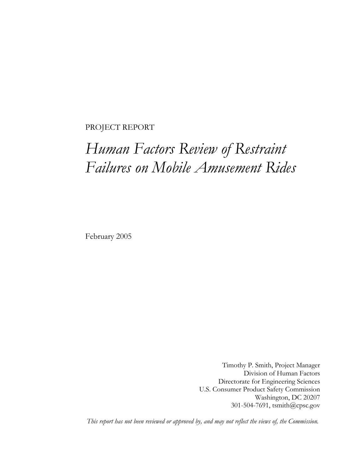#### PROJECT REPORT

# *Human Factors Review of Restraint Failures on Mobile Amusement Rides*

February 2005

Timothy P. Smith, Project Manager Division of Human Factors Directorate for Engineering Sciences U.S. Consumer Product Safety Commission Washington, DC 20207 301-504-7691, tsmith@cpsc.gov

*This report has not been reviewed or approved by, and may not reflect the views of, the Commission.*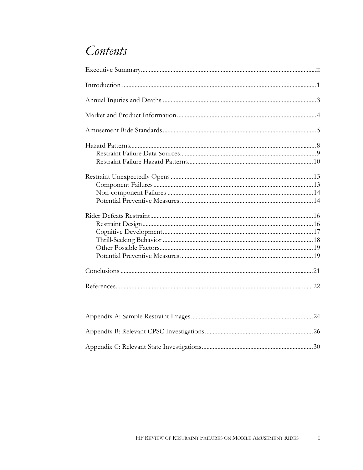### Contents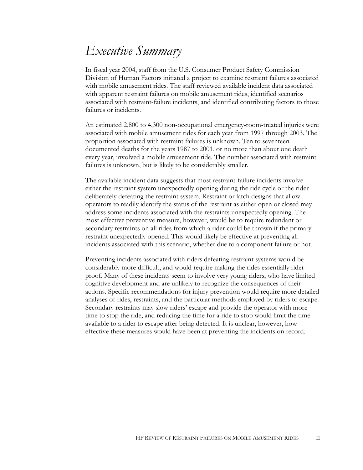## *Executive Summary*

In fiscal year 2004, staff from the U.S. Consumer Product Safety Commission Division of Human Factors initiated a project to examine restraint failures associated with mobile amusement rides. The staff reviewed available incident data associated with apparent restraint failures on mobile amusement rides, identified scenarios associated with restraint-failure incidents, and identified contributing factors to those failures or incidents.

An estimated 2,800 to 4,300 non-occupational emergency-room-treated injuries were associated with mobile amusement rides for each year from 1997 through 2003. The proportion associated with restraint failures is unknown. Ten to seventeen documented deaths for the years 1987 to 2001, or no more than about one death every year, involved a mobile amusement ride. The number associated with restraint failures is unknown, but is likely to be considerably smaller.

The available incident data suggests that most restraint-failure incidents involve either the restraint system unexpectedly opening during the ride cycle or the rider deliberately defeating the restraint system. Restraint or latch designs that allow operators to readily identify the status of the restraint as either open or closed may address some incidents associated with the restraints unexpectedly opening. The most effective preventive measure, however, would be to require redundant or secondary restraints on all rides from which a rider could be thrown if the primary restraint unexpectedly opened. This would likely be effective at preventing all incidents associated with this scenario, whether due to a component failure or not.

Preventing incidents associated with riders defeating restraint systems would be considerably more difficult, and would require making the rides essentially riderproof. Many of these incidents seem to involve very young riders, who have limited cognitive development and are unlikely to recognize the consequences of their actions. Specific recommendations for injury prevention would require more detailed analyses of rides, restraints, and the particular methods employed by riders to escape. Secondary restraints may slow riders' escape and provide the operator with more time to stop the ride, and reducing the time for a ride to stop would limit the time available to a rider to escape after being detected. It is unclear, however, how effective these measures would have been at preventing the incidents on record.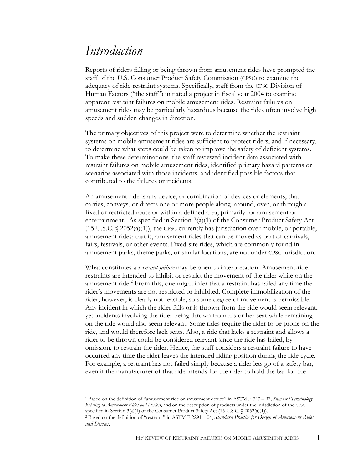### *Introduction*

 $\overline{a}$ 

Reports of riders falling or being thrown from amusement rides have prompted the staff of the U.S. Consumer Product Safety Commission (CPSC) to examine the adequacy of ride-restraint systems. Specifically, staff from the CPSC Division of Human Factors ("the staff") initiated a project in fiscal year 2004 to examine apparent restraint failures on mobile amusement rides. Restraint failures on amusement rides may be particularly hazardous because the rides often involve high speeds and sudden changes in direction.

The primary objectives of this project were to determine whether the restraint systems on mobile amusement rides are sufficient to protect riders, and if necessary, to determine what steps could be taken to improve the safety of deficient systems. To make these determinations, the staff reviewed incident data associated with restraint failures on mobile amusement rides, identified primary hazard patterns or scenarios associated with those incidents, and identified possible factors that contributed to the failures or incidents.

An amusement ride is any device, or combination of devices or elements, that carries, conveys, or directs one or more people along, around, over, or through a fixed or restricted route or within a defined area, primarily for amusement or entertainment.<sup>1</sup> As specified in Section 3(a)(1) of the Consumer Product Safety Act  $(15 \text{ U.S.C. } \S 2052(a)(1))$ , the CPSC currently has jurisdiction over mobile, or portable, amusement rides; that is, amusement rides that can be moved as part of carnivals, fairs, festivals, or other events. Fixed-site rides, which are commonly found in amusement parks, theme parks, or similar locations, are not under CPSC jurisdiction.

What constitutes a *restraint failure* may be open to interpretation. Amusement-ride restraints are intended to inhibit or restrict the movement of the rider while on the amusement ride. $^{2}$  From this, one might infer that a restraint has failed any time the rider's movements are not restricted or inhibited. Complete immobilization of the rider, however, is clearly not feasible, so some degree of movement is permissible. Any incident in which the rider falls or is thrown from the ride would seem relevant, yet incidents involving the rider being thrown from his or her seat while remaining on the ride would also seem relevant. Some rides require the rider to be prone on the ride, and would therefore lack seats. Also, a ride that lacks a restraint and allows a rider to be thrown could be considered relevant since the ride has failed, by omission, to restrain the rider. Hence, the staff considers a restraint failure to have occurred any time the rider leaves the intended riding position during the ride cycle. For example, a restraint has not failed simply because a rider lets go of a safety bar, even if the manufacturer of that ride intends for the rider to hold the bar for the

<sup>1</sup> Based on the definition of "amusement ride or amusement device" in ASTM F 747 – 97, *Standard Terminology Relating to Amusement Rides and Devices*, and on the description of products under the jurisdiction of the CPSC specified in Section 3(a)(1) of the Consumer Product Safety Act (15 U.S.C. § 2052(a)(1)).

<sup>&</sup>lt;sup>2</sup> Based on the definition of "restraint" in ASTM F 2291 – 04, *Standard Practice for Design of Amusement Rides and Devices*.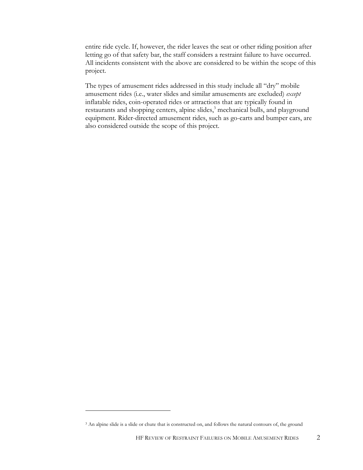entire ride cycle. If, however, the rider leaves the seat or other riding position after letting go of that safety bar, the staff considers a restraint failure to have occurred. All incidents consistent with the above are considered to be within the scope of this project.

The types of amusement rides addressed in this study include all "dry" mobile amusement rides (i.e., water slides and similar amusements are excluded) *except* inflatable rides, coin-operated rides or attractions that are typically found in restaurants and shopping centers, alpine slides,<sup>3</sup> mechanical bulls, and playground equipment. Rider-directed amusement rides, such as go-carts and bumper cars, are also considered outside the scope of this project.

<u>.</u>

<sup>&</sup>lt;sup>3</sup> An alpine slide is a slide or chute that is constructed on, and follows the natural contours of, the ground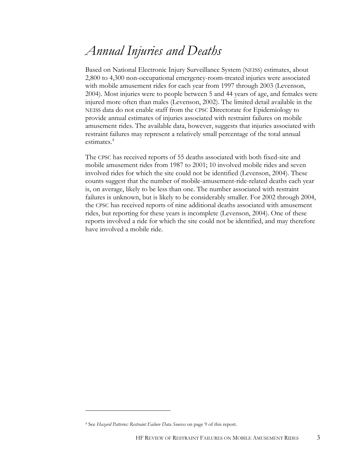### *Annual Injuries and Deaths*

Based on National Electronic Injury Surveillance System (NEISS) estimates, about 2,800 to 4,300 non-occupational emergency-room-treated injuries were associated with mobile amusement rides for each year from 1997 through 2003 (Levenson, 2004). Most injuries were to people between 5 and 44 years of age, and females were injured more often than males (Levenson, 2002). The limited detail available in the NEISS data do not enable staff from the CPSC Directorate for Epidemiology to provide annual estimates of injuries associated with restraint failures on mobile amusement rides. The available data, however, suggests that injuries associated with restraint failures may represent a relatively small percentage of the total annual estimates.<sup>4</sup>

The CPSC has received reports of 55 deaths associated with both fixed-site and mobile amusement rides from 1987 to 2001; 10 involved mobile rides and seven involved rides for which the site could not be identified (Levenson, 2004). These counts suggest that the number of mobile-amusement-ride-related deaths each year is, on average, likely to be less than one. The number associated with restraint failures is unknown, but is likely to be considerably smaller. For 2002 through 2004, the CPSC has received reports of nine additional deaths associated with amusement rides, but reporting for these years is incomplete (Levenson, 2004). One of these reports involved a ride for which the site could not be identified, and may therefore have involved a mobile ride.

<sup>4</sup> See *Hazard Patterns: Restraint Failure Data Sources* on page 9 of this report.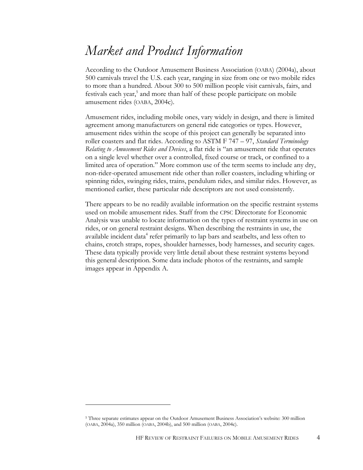### *Market and Product Information*

According to the Outdoor Amusement Business Association (OABA) (2004a), about 500 carnivals travel the U.S. each year, ranging in size from one or two mobile rides to more than a hundred. About 300 to 500 million people visit carnivals, fairs, and festivals each year,<sup>5</sup> and more than half of these people participate on mobile amusement rides (OABA, 2004c).

Amusement rides, including mobile ones, vary widely in design, and there is limited agreement among manufacturers on general ride categories or types. However, amusement rides within the scope of this project can generally be separated into roller coasters and flat rides. According to ASTM F 747 – 97, *Standard Terminology Relating to Amusement Rides and Devices*, a flat ride is "an amusement ride that operates on a single level whether over a controlled, fixed course or track, or confined to a limited area of operation." More common use of the term seems to include any dry, non-rider-operated amusement ride other than roller coasters, including whirling or spinning rides, swinging rides, trains, pendulum rides, and similar rides. However, as mentioned earlier, these particular ride descriptors are not used consistently.

There appears to be no readily available information on the specific restraint systems used on mobile amusement rides. Staff from the CPSC Directorate for Economic Analysis was unable to locate information on the types of restraint systems in use on rides, or on general restraint designs. When describing the restraints in use, the available incident data<sup>4</sup> refer primarily to lap bars and seatbelts, and less often to chains, crotch straps, ropes, shoulder harnesses, body harnesses, and security cages. These data typically provide very little detail about these restraint systems beyond this general description. Some data include photos of the restraints, and sample images appear in Appendix A.

<sup>5</sup> Three separate estimates appear on the Outdoor Amusement Business Association's website: 300 million (OABA, 2004a), 350 million (OABA, 2004b), and 500 million (OABA, 2004c).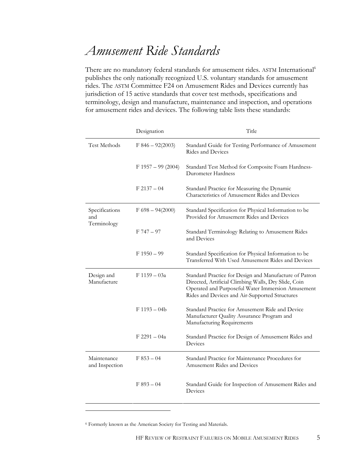### *Amusement Ride Standards*

There are no mandatory federal standards for amusement rides. ASTM International<sup>6</sup> publishes the only nationally recognized U.S. voluntary standards for amusement rides. The ASTM Committee F24 on Amusement Rides and Devices currently has jurisdiction of 15 active standards that cover test methods, specifications and terminology, design and manufacture, maintenance and inspection, and operations for amusement rides and devices. The following table lists these standards:

| Designation          | Title                                                                                                                                                                                                                 |
|----------------------|-----------------------------------------------------------------------------------------------------------------------------------------------------------------------------------------------------------------------|
| $F846 - 92(2003)$    | Standard Guide for Testing Performance of Amusement<br>Rides and Devices                                                                                                                                              |
| $F 1957 - 99 (2004)$ | Standard Test Method for Composite Foam Hardness-<br>Durometer Hardness                                                                                                                                               |
| $F 2137 - 04$        | Standard Practice for Measuring the Dynamic<br>Characteristics of Amusement Rides and Devices                                                                                                                         |
| $F 698 - 94(2000)$   | Standard Specification for Physical Information to be<br>Provided for Amusement Rides and Devices                                                                                                                     |
| $F 747 - 97$         | Standard Terminology Relating to Amusement Rides<br>and Devices                                                                                                                                                       |
| $F1950 - 99$         | Standard Specification for Physical Information to be<br>Transferred With Used Amusement Rides and Devices                                                                                                            |
| $F 1159 - 03a$       | Standard Practice for Design and Manufacture of Patron<br>Directed, Artificial Climbing Walls, Dry Slide, Coin<br>Operated and Purposeful Water Immersion Amusement<br>Rides and Devices and Air-Supported Structures |
| $F1193 - 04b$        | Standard Practice for Amusement Ride and Device<br>Manufacturer Quality Assurance Program and<br>Manufacturing Requirements                                                                                           |
| $F 2291 - 04a$       | Standard Practice for Design of Amusement Rides and<br>Devices                                                                                                                                                        |
| $F853 - 04$          | Standard Practice for Maintenance Procedures for<br><b>Amusement Rides and Devices</b>                                                                                                                                |
| $F893 - 04$          | Standard Guide for Inspection of Amusement Rides and<br>Devices                                                                                                                                                       |
|                      |                                                                                                                                                                                                                       |

6 Formerly known as the American Society for Testing and Materials.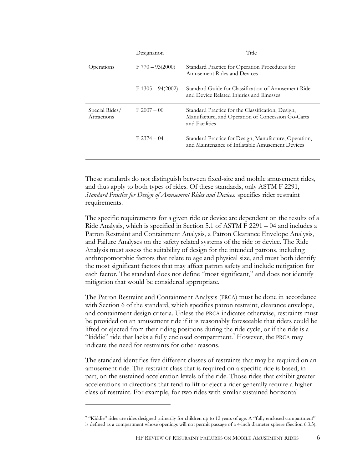|                                      | Designation         | Title                                                                                                                    |
|--------------------------------------|---------------------|--------------------------------------------------------------------------------------------------------------------------|
| Operations                           | $F 770 - 93(2000)$  | Standard Practice for Operation Procedures for<br>Amusement Rides and Devices                                            |
|                                      | $F 1305 - 94(2002)$ | Standard Guide for Classification of Amusement Ride<br>and Device Related Injuries and Illnesses                         |
| Special Rides/<br><b>Attractions</b> | $F 2007 - 00$       | Standard Practice for the Classification, Design,<br>Manufacture, and Operation of Concession Go-Carts<br>and Facilities |
|                                      | $F2374 - 04$        | Standard Practice for Design, Manufacture, Operation,<br>and Maintenance of Inflatable Amusement Devices                 |

These standards do not distinguish between fixed-site and mobile amusement rides, and thus apply to both types of rides. Of these standards, only ASTM F 2291, *Standard Practice for Design of Amusement Rides and Devices*, specifies rider restraint requirements.

The specific requirements for a given ride or device are dependent on the results of a Ride Analysis, which is specified in Section 5.1 of ASTM F 2291 – 04 and includes a Patron Restraint and Containment Analysis, a Patron Clearance Envelope Analysis, and Failure Analyses on the safety related systems of the ride or device. The Ride Analysis must assess the suitability of design for the intended patrons, including anthropomorphic factors that relate to age and physical size, and must both identify the most significant factors that may affect patron safety and include mitigation for each factor. The standard does not define "most significant," and does not identify mitigation that would be considered appropriate.

The Patron Restraint and Containment Analysis (PRCA) must be done in accordance with Section 6 of the standard, which specifies patron restraint, clearance envelope, and containment design criteria. Unless the PRCA indicates otherwise, restraints must be provided on an amusement ride if it is reasonably foreseeable that riders could be lifted or ejected from their riding positions during the ride cycle, or if the ride is a "kiddie" ride that lacks a fully enclosed compartment.<sup>7</sup> However, the PRCA may indicate the need for restraints for other reasons.

The standard identifies five different classes of restraints that may be required on an amusement ride. The restraint class that is required on a specific ride is based, in part, on the sustained acceleration levels of the ride. Those rides that exhibit greater accelerations in directions that tend to lift or eject a rider generally require a higher class of restraint. For example, for two rides with similar sustained horizontal

<sup>7 &</sup>quot;Kiddie" rides are rides designed primarily for children up to 12 years of age. A "fully enclosed compartment" is defined as a compartment whose openings will not permit passage of a 4-inch diameter sphere (Section 6.3.3).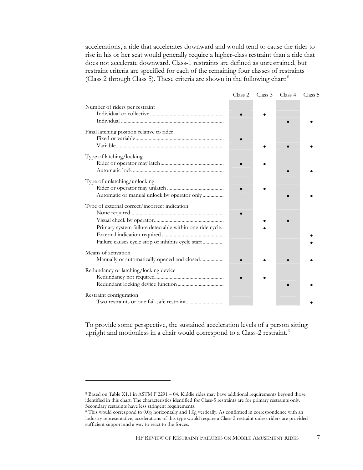accelerations, a ride that accelerates downward and would tend to cause the rider to rise in his or her seat would generally require a higher-class restraint than a ride that does not accelerate downward. Class-1 restraints are defined as unrestrained, but restraint criteria are specified for each of the remaining four classes of restraints (Class 2 through Class 5). These criteria are shown in the following chart:<sup>8</sup>

|                                                                                                                                                               | Class 2 | Class 3 | Class 4 | Class 5 |
|---------------------------------------------------------------------------------------------------------------------------------------------------------------|---------|---------|---------|---------|
| Number of riders per restraint                                                                                                                                |         |         |         |         |
| Final latching position relative to rider                                                                                                                     |         |         |         |         |
| Type of latching/locking                                                                                                                                      |         |         |         |         |
| Type of unlatching/unlocking<br>Automatic or manual unlock by operator only                                                                                   |         |         |         |         |
| Type of external correct/incorrect indication<br>Primary system failure detectable within one ride cycle<br>Failure causes cycle stop or inhibits cycle start |         |         |         |         |
| Means of activation<br>Manually or automatically opened and closed                                                                                            |         |         |         |         |
| Redundancy or latching/locking device                                                                                                                         |         |         |         |         |
| Restraint configuration                                                                                                                                       |         |         |         |         |

To provide some perspective, the sustained acceleration levels of a person sitting upright and motionless in a chair would correspond to a Class-2 restraint.<sup>9</sup>

<sup>8</sup> Based on Table X1.1 in ASTM F 2291 – 04. Kiddie rides may have additional requirements beyond those identified in this chart. The characteristics identified for Class-5 restraints are for primary restraints only. Secondary restraints have less stringent requirements.<br><sup>9</sup> This would correspond to 0.0g horizontally and 1.0g vertically. As confirmed in correspondence with an

industry representative, accelerations of this type would require a Class-2 restraint unless riders are provided sufficient support and a way to react to the forces.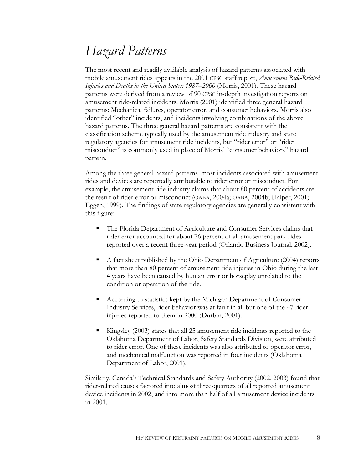## *Hazard Patterns*

The most recent and readily available analysis of hazard patterns associated with mobile amusement rides appears in the 2001 CPSC staff report, *Amusement Ride-Related Injuries and Deaths in the United States: 1987–2000* (Morris, 2001). These hazard patterns were derived from a review of 90 CPSC in-depth investigation reports on amusement ride-related incidents. Morris (2001) identified three general hazard patterns: Mechanical failures, operator error, and consumer behaviors. Morris also identified "other" incidents, and incidents involving combinations of the above hazard patterns. The three general hazard patterns are consistent with the classification scheme typically used by the amusement ride industry and state regulatory agencies for amusement ride incidents, but "rider error" or "rider misconduct" is commonly used in place of Morris' "consumer behaviors" hazard pattern.

Among the three general hazard patterns, most incidents associated with amusement rides and devices are reportedly attributable to rider error or misconduct. For example, the amusement ride industry claims that about 80 percent of accidents are the result of rider error or misconduct (OABA, 2004a; OABA, 2004b; Halper, 2001; Eggen, 1999). The findings of state regulatory agencies are generally consistent with this figure:

- The Florida Department of Agriculture and Consumer Services claims that rider error accounted for about 76 percent of all amusement park rides reported over a recent three-year period (Orlando Business Journal, 2002).
- A fact sheet published by the Ohio Department of Agriculture (2004) reports that more than 80 percent of amusement ride injuries in Ohio during the last 4 years have been caused by human error or horseplay unrelated to the condition or operation of the ride.
- According to statistics kept by the Michigan Department of Consumer Industry Services, rider behavior was at fault in all but one of the 47 rider injuries reported to them in 2000 (Durbin, 2001).
- Kingsley (2003) states that all 25 amusement ride incidents reported to the Oklahoma Department of Labor, Safety Standards Division, were attributed to rider error. One of these incidents was also attributed to operator error, and mechanical malfunction was reported in four incidents (Oklahoma Department of Labor, 2001).

Similarly, Canada's Technical Standards and Safety Authority (2002, 2003) found that rider-related causes factored into almost three-quarters of all reported amusement device incidents in 2002, and into more than half of all amusement device incidents in 2001.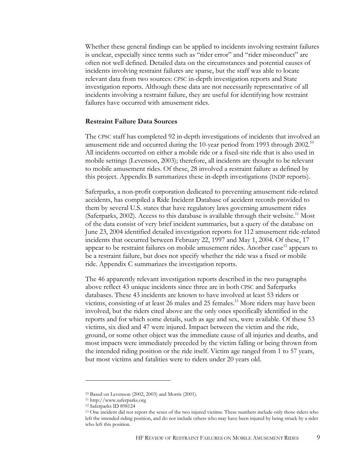Whether these general findings can be applied to incidents involving restraint failures is unclear, especially since terms such as "rider error" and "rider misconduct" are often not well defined. Detailed data on the circumstances and potential causes of incidents involving restraint failures are sparse, but the staff was able to locate relevant data from two sources: CPSC in-depth investigation reports and State investigation reports. Although these data are not necessarily representative of all incidents involving a restraint failure, they are useful for identifying how restraint failures have occurred with amusement rides.

#### **Restraint Failure Data Sources**

The CPSC staff has completed 92 in-depth investigations of incidents that involved an amusement ride and occurred during the 10-year period from 1993 through  $2002$ <sup>10</sup> All incidents occurred on either a mobile ride or a fixed-site ride that is also used in mobile settings (Levenson, 2003); therefore, all incidents are thought to be relevant to mobile amusement rides. Of these, 28 involved a restraint failure as defined by this project. Appendix B summarizes these in-depth investigations (INDP reports).

Saferparks, a non-profit corporation dedicated to preventing amusement ride-related accidents, has compiled a Ride Incident Database of accident records provided to them by several U.S. states that have regulatory laws governing amusement rides (Saferparks, 2002). Access to this database is available through their website.<sup>11</sup> Most of the data consist of very brief incident summaries, but a query of the database on June 23, 2004 identified detailed investigation reports for 112 amusement ride-related incidents that occurred between February 22, 1997 and May 1, 2004. Of these, 17 appear to be restraint failures on mobile amusement rides. Another case<sup>12</sup> appears to be a restraint failure, but does not specify whether the ride was a fixed or mobile ride. Appendix C summarizes the investigation reports.

The 46 apparently relevant investigation reports described in the two paragraphs above reflect 43 unique incidents since three are in both CPSC and Saferparks databases. These 43 incidents are known to have involved at least 53 riders or victims, consisting of at least 26 males and 25 females.<sup>13</sup> More riders may have been involved, but the riders cited above are the only ones specifically identified in the reports and for which some details, such as age and sex, were available. Of these 53 victims, six died and 47 were injured. Impact between the victim and the ride, ground, or some other object was the immediate cause of all injuries and deaths, and most impacts were immediately preceded by the victim falling or being thrown from the intended riding position or the ride itself. Victim age ranged from 1 to 57 years, but most victims and fatalities were to riders under 20 years old.

<sup>10</sup> Based on Levenson (2002, 2003) and Morris (2001).

<sup>11</sup> http://www.saferparks.org

<sup>12</sup> Saferparks ID 898124

<sup>&</sup>lt;sup>13</sup> One incident did not report the sexes of the two injured victims. These numbers include only those riders who left the intended riding position, and do not include others who may have been injured by being struck by a rider who left this position.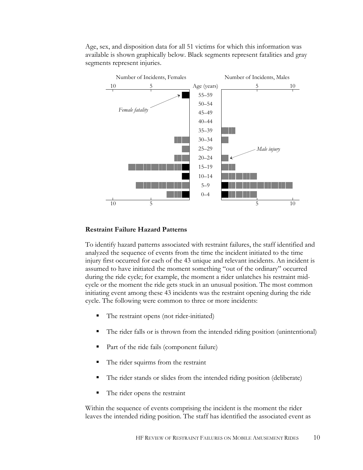Age, sex, and disposition data for all 51 victims for which this information was available is shown graphically below. Black segments represent fatalities and gray segments represent injuries.



#### **Restraint Failure Hazard Patterns**

To identify hazard patterns associated with restraint failures, the staff identified and analyzed the sequence of events from the time the incident initiated to the time injury first occurred for each of the 43 unique and relevant incidents. An incident is assumed to have initiated the moment something "out of the ordinary" occurred during the ride cycle; for example, the moment a rider unlatches his restraint midcycle or the moment the ride gets stuck in an unusual position. The most common initiating event among these 43 incidents was the restraint opening during the ride cycle. The following were common to three or more incidents:

- The restraint opens (not rider-initiated)
- The rider falls or is thrown from the intended riding position (unintentional)
- Part of the ride fails (component failure)
- The rider squirms from the restraint
- The rider stands or slides from the intended riding position (deliberate)
- The rider opens the restraint

Within the sequence of events comprising the incident is the moment the rider leaves the intended riding position. The staff has identified the associated event as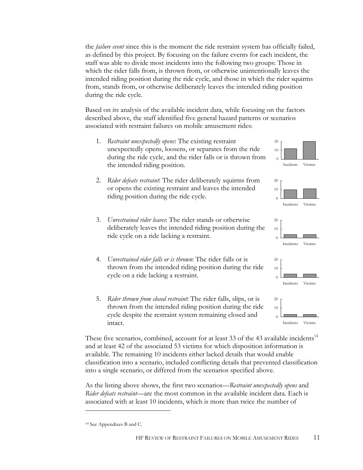the *failure event* since this is the moment the ride restraint system has officially failed, as defined by this project. By focusing on the failure events for each incident, the staff was able to divide most incidents into the following two groups: Those in which the rider falls from, is thrown from, or otherwise unintentionally leaves the intended riding position during the ride cycle, and those in which the rider squirms from, stands from, or otherwise deliberately leaves the intended riding position during the ride cycle.

Based on its analysis of the available incident data, while focusing on the factors described above, the staff identified five general hazard patterns or scenarios associated with restraint failures on mobile amusement rides:

- 1. *Restraint unexpectedly opens*: The existing restraint unexpectedly opens, loosens, or separates from the ride during the ride cycle, and the rider falls or is thrown from the intended riding position.
- 2. *Rider defeats restraint*: The rider deliberately squirms from or opens the existing restraint and leaves the intended riding position during the ride cycle.  $\qquad \qquad$  0
- 3. *Unrestrained rider leaves*: The rider stands or otherwise deliberately leaves the intended riding position during the ride cycle on a ride lacking a restraint.
- 4. *Unrestrained rider falls or is thrown*: The rider falls or is thrown from the intended riding position during the ride cycle on a ride lacking a restraint.
- 5. *Rider thrown from closed restraint*: The rider falls, slips, or is thrown from the intended riding position during the ride cycle despite the restraint system remaining closed and intact.

These five scenarios, combined, account for at least 33 of the 43 available incidents $14$ and at least 42 of the associated 53 victims for which disposition information is available. The remaining 10 incidents either lacked details that would enable classification into a scenario, included conflicting details that prevented classification into a single scenario, or differed from the scenarios specified above.

As the listing above shows, the first two scenarios—*Restraint unexpectedly opens* and *Rider defeats restraint*—are the most common in the available incident data. Each is associated with at least 10 incidents, which is more than twice the number of

<u>.</u>







<sup>14</sup> See Appendixes B and C.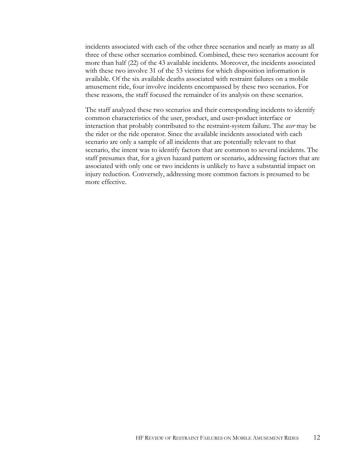incidents associated with each of the other three scenarios and nearly as many as all three of these other scenarios combined. Combined, these two scenarios account for more than half (22) of the 43 available incidents. Moreover, the incidents associated with these two involve 31 of the 53 victims for which disposition information is available. Of the six available deaths associated with restraint failures on a mobile amusement ride, four involve incidents encompassed by these two scenarios. For these reasons, the staff focused the remainder of its analysis on these scenarios.

The staff analyzed these two scenarios and their corresponding incidents to identify common characteristics of the user, product, and user-product interface or interaction that probably contributed to the restraint-system failure. The *user* may be the rider or the ride operator. Since the available incidents associated with each scenario are only a sample of all incidents that are potentially relevant to that scenario, the intent was to identify factors that are common to several incidents. The staff presumes that, for a given hazard pattern or scenario, addressing factors that are associated with only one or two incidents is unlikely to have a substantial impact on injury reduction. Conversely, addressing more common factors is presumed to be more effective.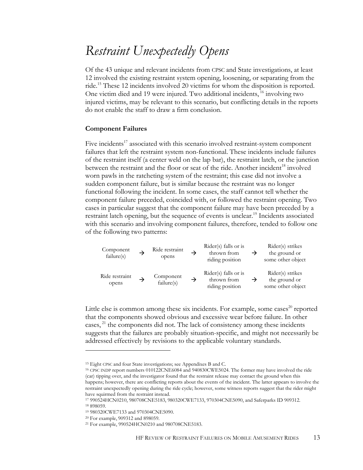### *Restraint Unexpectedly Opens*

Of the 43 unique and relevant incidents from CPSC and State investigations, at least 12 involved the existing restraint system opening, loosening, or separating from the ride.15 These 12 incidents involved 20 victims for whom the disposition is reported. One victim died and 19 were injured. Two additional incidents, <sup>16</sup> involving two injured victims, may be relevant to this scenario, but conflicting details in the reports do not enable the staff to draw a firm conclusion.

#### **Component Failures**

Five incidents $17$  associated with this scenario involved restraint-system component failures that left the restraint system non-functional. These incidents include failures of the restraint itself (a center weld on the lap bar), the restraint latch, or the junction between the restraint and the floor or seat of the ride. Another incident<sup>18</sup> involved worn pawls in the ratcheting system of the restraint; this case did not involve a sudden component failure, but is similar because the restraint was no longer functional following the incident. In some cases, the staff cannot tell whether the component failure preceded, coincided with, or followed the restraint opening. Two cases in particular suggest that the component failure may have been preceded by a restraint latch opening, but the sequence of events is unclear.<sup>19</sup> Incidents associated with this scenario and involving component failures, therefore, tended to follow one of the following two patterns:

Component failure(s) <sup>Æ</sup> Ride restraint opens Æ Rider(s) falls or is thrown from riding position Æ Rider(s) strikes the ground or some other object Ride restraint opens <sup>Æ</sup> Component failure(s) <sup>Æ</sup> Rider(s) falls or is thrown from riding position Æ Rider(s) strikes the ground or some other object

Little else is common among these six incidents. For example, some cases $^{20}$  reported that the components showed obvious and excessive wear before failure. In other cases,  $^{21}$  the components did not. The lack of consistency among these incidents suggests that the failures are probably situation-specific, and might not necessarily be addressed effectively by revisions to the applicable voluntary standards.

<sup>&</sup>lt;sup>15</sup> Eight CPSC and four State investigations; see Appendixes B and C.<br><sup>16</sup> CPSC INDP report numbers 010122CNE6084 and 940830CWE5024. The former may have involved the ride (car) tipping over, and the investigator found that the restraint release may contact the ground when this happens; however, there are conflicting reports about the events of the incident. The latter appears to involve the restraint unexpectedly opening during the ride cycle; however, some witness reports suggest that the rider might have squirmed from the restraint instead.

<sup>17 990524</sup>HCN0210, 980708CNE5183, 980320CWE7133, 970304CNE5090, and Saferparks ID 909312. 18 898059.

<sup>19 980320</sup>CWE7133 and 970304CNE5090.

<sup>&</sup>lt;sup>20</sup> For example, 909312 and 898059.<br><sup>21</sup> For example, 990524HCN0210 and 980708CNE5183.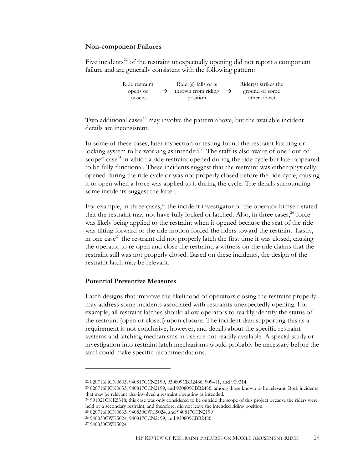#### **Non-component Failures**

Five incidents<sup>22</sup> of the restraint unexpectedly opening did not report a component failure and are generally consistent with the following pattern:

| Ride restraint | $Rider(s)$ falls or is           | Rider(s) strikes the |
|----------------|----------------------------------|----------------------|
| opens or       | thrown from riding $\rightarrow$ | ground or some       |
| loosens        | position                         | other object         |

Two additional cases<sup>16</sup> may involve the pattern above, but the available incident details are inconsistent.

In some of these cases, later inspection or testing found the restraint latching or locking system to be working as intended.<sup>23</sup> The staff is also aware of one "out-ofscope" case<sup>24</sup> in which a ride restraint opened during the ride cycle but later appeared to be fully functional. These incidents suggest that the restraint was either physically opened during the ride cycle or was not properly closed before the ride cycle, causing it to open when a force was applied to it during the cycle. The details surrounding some incidents suggest the latter.

For example, in three cases, $^{25}$  the incident investigator or the operator himself stated that the restraint may not have fully locked or latched. Also, in three cases, $26$  force was likely being applied to the restraint when it opened because the seat of the ride was tilting forward or the ride motion forced the riders toward the restraint. Lastly, in one case<sup>27</sup> the restraint did not properly latch the first time it was closed, causing the operator to re-open and close the restraint; a witness on the ride claims that the restraint still was not properly closed. Based on these incidents, the design of the restraint latch may be relevant.

#### **Potential Preventive Measures**

Latch designs that improve the likelihood of operators closing the restraint properly may address some incidents associated with restraints unexpectedly opening. For example, all restraint latches should allow operators to readily identify the status of the restraint (open or closed) upon closure. The incident data supporting this as a requirement is not conclusive, however, and details about the specific restraint systems and latching mechanisms in use are not readily available. A special study or investigation into restraint latch mechanisms would probably be necessary before the staff could make specific recommendations.

25 020716HCN0633, 940830CWE5024, and 940817CCN2199

26 940830CWE5024, 940817CCN2199, and 930809CBB2486

<sup>22 020716</sup>HCN0633, 940817CCN2199, 930809CBB2486, 909411, and 909314. 23 020716HCN0633, 940817CCN2199, and 930809CBB2486, among those known to be relevant. Both incidents that may be relevant also involved a restraint operating as intended.

<sup>24 991021</sup>CNE5318; this case was only considered to be outside the scope of this project because the riders were held by a secondary restraint, and therefore, did not leave the intended riding position.

<sup>27 940830</sup>CWE5024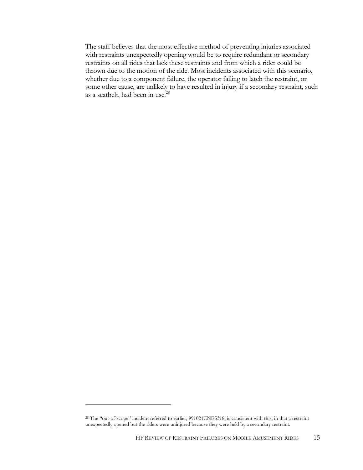The staff believes that the most effective method of preventing injuries associated with restraints unexpectedly opening would be to require redundant or secondary restraints on all rides that lack these restraints and from which a rider could be thrown due to the motion of the ride. Most incidents associated with this scenario, whether due to a component failure, the operator failing to latch the restraint, or some other cause, are unlikely to have resulted in injury if a secondary restraint, such as a seatbelt, had been in use.<sup>28</sup>

<sup>&</sup>lt;sup>28</sup> The "out-of-scope" incident referred to earlier, 991021CNE5318, is consistent with this, in that a restraint unexpectedly opened but the riders were uninjured because they were held by a secondary restraint.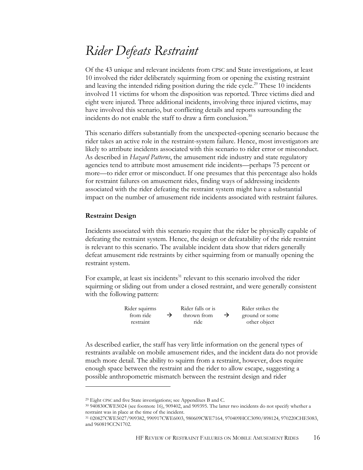### *Rider Defeats Restraint*

Of the 43 unique and relevant incidents from CPSC and State investigations, at least 10 involved the rider deliberately squirming from or opening the existing restraint and leaving the intended riding position during the ride cycle.<sup>29</sup> These  $10$  incidents involved 11 victims for whom the disposition was reported. Three victims died and eight were injured. Three additional incidents, involving three injured victims, may have involved this scenario, but conflicting details and reports surrounding the incidents do not enable the staff to draw a firm conclusion.<sup>30</sup>

This scenario differs substantially from the unexpected-opening scenario because the rider takes an active role in the restraint-system failure. Hence, most investigators are likely to attribute incidents associated with this scenario to rider error or misconduct. As described in *Hazard Patterns*, the amusement ride industry and state regulatory agencies tend to attribute most amusement ride incidents—perhaps 75 percent or more—to rider error or misconduct. If one presumes that this percentage also holds for restraint failures on amusement rides, finding ways of addressing incidents associated with the rider defeating the restraint system might have a substantial impact on the number of amusement ride incidents associated with restraint failures.

#### **Restraint Design**

 $\overline{a}$ 

Incidents associated with this scenario require that the rider be physically capable of defeating the restraint system. Hence, the design or defeatability of the ride restraint is relevant to this scenario. The available incident data show that riders generally defeat amusement ride restraints by either squirming from or manually opening the restraint system.

For example, at least six incidents $31$  relevant to this scenario involved the rider squirming or sliding out from under a closed restraint, and were generally consistent with the following pattern:

| Rider squirms |               | Rider falls or is |               | Rider strikes the |
|---------------|---------------|-------------------|---------------|-------------------|
| from ride     | $\rightarrow$ | thrown from       | $\rightarrow$ | ground or some    |
| restraint     |               | ride              |               | other object      |

As described earlier, the staff has very little information on the general types of restraints available on mobile amusement rides, and the incident data do not provide much more detail. The ability to squirm from a restraint, however, does require enough space between the restraint and the rider to allow escape, suggesting a possible anthropometric mismatch between the restraint design and rider

<sup>&</sup>lt;sup>29</sup> Eight CPSC and five State investigations; see Appendixes B and C.<br><sup>30</sup> 940830CWE5024 (see footnote 16), 909402, and 909395. The latter two incidents do not specify whether a restraint was in place at the time of the incident.

<sup>31 020827</sup>CWE5027/909382, 990917CWE6003, 980609CWE7164, 970409HCC3090/898124, 970220CHE5083, and 960819CCN1702.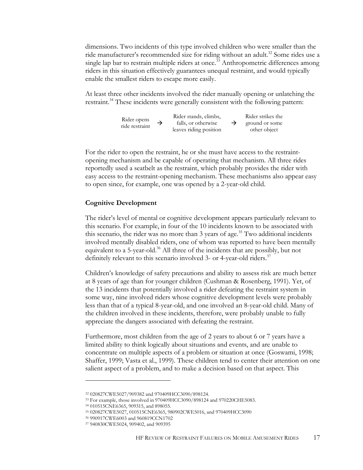dimensions. Two incidents of this type involved children who were smaller than the ride manufacturer's recommended size for riding without an adult.<sup>32</sup> Some rides use a single lap bar to restrain multiple riders at once.<sup>33</sup> Anthropometric differences among riders in this situation effectively guarantees unequal restraint, and would typically enable the smallest riders to escape more easily.

At least three other incidents involved the rider manually opening or unlatching the restraint.<sup>34</sup> These incidents were generally consistent with the following pattern:



For the rider to open the restraint, he or she must have access to the restraintopening mechanism and be capable of operating that mechanism. All three rides reportedly used a seatbelt as the restraint, which probably provides the rider with easy access to the restraint-opening mechanism. These mechanisms also appear easy to open since, for example, one was opened by a 2-year-old child.

#### **Cognitive Development**

The rider's level of mental or cognitive development appears particularly relevant to this scenario. For example, in four of the 10 incidents known to be associated with this scenario, the rider was no more than 3 years of age.<sup>35</sup> Two additional incidents involved mentally disabled riders, one of whom was reported to have been mentally equivalent to a 5-year-old.<sup>36</sup> All three of the incidents that are possibly, but not definitely relevant to this scenario involved 3- or 4-year-old riders.<sup>37</sup>

Children's knowledge of safety precautions and ability to assess risk are much better at 8 years of age than for younger children (Cushman & Rosenberg, 1991). Yet, of the 13 incidents that potentially involved a rider defeating the restraint system in some way, nine involved riders whose cognitive development levels were probably less than that of a typical 8-year-old, and one involved an 8-year-old child. Many of the children involved in these incidents, therefore, were probably unable to fully appreciate the dangers associated with defeating the restraint.

Furthermore, most children from the age of 2 years to about 6 or 7 years have a limited ability to think logically about situations and events, and are unable to concentrate on multiple aspects of a problem or situation at once (Goswami, 1998; Shaffer, 1999; Vasta et al., 1999). These children tend to center their attention on one salient aspect of a problem, and to make a decision based on that aspect. This

<sup>32 020827</sup>CWE5027/909382 and 970409HCC3090/898124.

<sup>33</sup> For example, those involved in 970409HCC3090/898124 and 970220CHE5083. 34 010515CNE6365, 909315, and 898055.

<sup>35 020827</sup>CWE5027, 010515CNE6365, 980902CWE5016, and 970409HCC3090

<sup>36 990917</sup>CWE6003 and 960819CCN1702

<sup>37 940830</sup>CWE5024, 909402, and 909395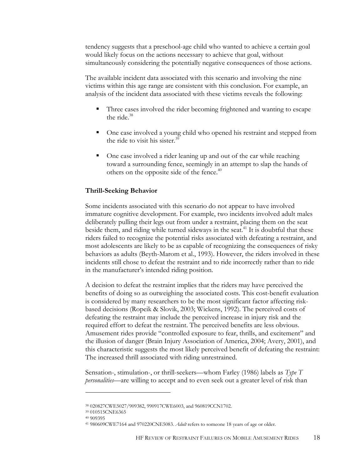tendency suggests that a preschool-age child who wanted to achieve a certain goal would likely focus on the actions necessary to achieve that goal, without simultaneously considering the potentially negative consequences of those actions.

The available incident data associated with this scenario and involving the nine victims within this age range are consistent with this conclusion. For example, an analysis of the incident data associated with these victims reveals the following:

- Three cases involved the rider becoming frightened and wanting to escape the ride. $38$
- One case involved a young child who opened his restraint and stepped from the ride to visit his sister.<sup>39</sup>
- One case involved a rider leaning up and out of the car while reaching toward a surrounding fence, seemingly in an attempt to slap the hands of others on the opposite side of the fence.<sup>40</sup>

#### **Thrill-Seeking Behavior**

Some incidents associated with this scenario do not appear to have involved immature cognitive development. For example, two incidents involved adult males deliberately pulling their legs out from under a restraint, placing them on the seat beside them, and riding while turned sideways in the seat.<sup>41</sup> It is doubtful that these riders failed to recognize the potential risks associated with defeating a restraint, and most adolescents are likely to be as capable of recognizing the consequences of risky behaviors as adults (Beyth-Marom et al., 1993). However, the riders involved in these incidents still chose to defeat the restraint and to ride incorrectly rather than to ride in the manufacturer's intended riding position.

A decision to defeat the restraint implies that the riders may have perceived the benefits of doing so as outweighing the associated costs. This cost-benefit evaluation is considered by many researchers to be the most significant factor affecting riskbased decisions (Ropeik & Slovik, 2003; Wickens, 1992). The perceived costs of defeating the restraint may include the perceived increase in injury risk and the required effort to defeat the restraint. The perceived benefits are less obvious. Amusement rides provide "controlled exposure to fear, thrills, and excitement" and the illusion of danger (Brain Injury Association of America, 2004; Avery, 2001), and this characteristic suggests the most likely perceived benefit of defeating the restraint: The increased thrill associated with riding unrestrained.

Sensation-, stimulation-, or thrill-seekers—whom Farley (1986) labels as *Type T personalities*—are willing to accept and to even seek out a greater level of risk than

<sup>38 020827</sup>CWE5027/909382, 990917CWE6003, and 960819CCN1702.

<sup>39 010515</sup>CNE6365

<sup>40 909395</sup> 

<sup>41 980609</sup>CWE7164 and 970220CNE5083. *Adult* refers to someone 18 years of age or older.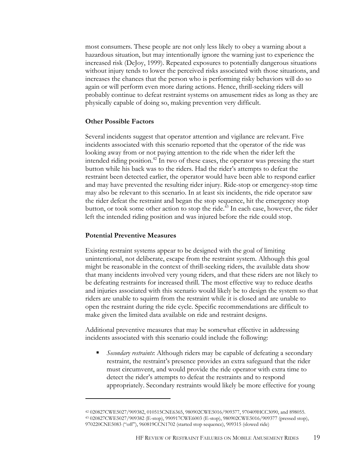most consumers. These people are not only less likely to obey a warning about a hazardous situation, but may intentionally ignore the warning just to experience the increased risk (DeJoy, 1999). Repeated exposures to potentially dangerous situations without injury tends to lower the perceived risks associated with those situations, and increases the chances that the person who is performing risky behaviors will do so again or will perform even more daring actions. Hence, thrill-seeking riders will probably continue to defeat restraint systems on amusement rides as long as they are physically capable of doing so, making prevention very difficult.

#### **Other Possible Factors**

Several incidents suggest that operator attention and vigilance are relevant. Five incidents associated with this scenario reported that the operator of the ride was looking away from or not paying attention to the ride when the rider left the intended riding position.<sup>42</sup> In two of these cases, the operator was pressing the start button while his back was to the riders. Had the rider's attempts to defeat the restraint been detected earlier, the operator would have been able to respond earlier and may have prevented the resulting rider injury. Ride-stop or emergency-stop time may also be relevant to this scenario. In at least six incidents, the ride operator saw the rider defeat the restraint and began the stop sequence, hit the emergency stop button, or took some other action to stop the ride.<sup>43</sup> In each case, however, the rider left the intended riding position and was injured before the ride could stop.

#### **Potential Preventive Measures**

-

Existing restraint systems appear to be designed with the goal of limiting unintentional, not deliberate, escape from the restraint system. Although this goal might be reasonable in the context of thrill-seeking riders, the available data show that many incidents involved very young riders, and that these riders are not likely to be defeating restraints for increased thrill. The most effective way to reduce deaths and injuries associated with this scenario would likely be to design the system so that riders are unable to squirm from the restraint while it is closed and are unable to open the restraint during the ride cycle. Specific recommendations are difficult to make given the limited data available on ride and restraint designs.

Additional preventive measures that may be somewhat effective in addressing incidents associated with this scenario could include the following:

 *Secondary restraints*: Although riders may be capable of defeating a secondary restraint, the restraint's presence provides an extra safeguard that the rider must circumvent, and would provide the ride operator with extra time to detect the rider's attempts to defeat the restraints and to respond appropriately. Secondary restraints would likely be more effective for young

<sup>42 020827</sup>CWE5027/909382, 010515CNE6365, 980902CWE5016/909377, 970409HCC3090, and 898055. 43 020827CWE5027/909382 (E-stop), 990917CWE6003 (E-stop), 980902CWE5016/909377 (pressed stop), 970220CNE5083 ("off"), 960819CCN1702 (started stop sequence), 909315 (slowed ride)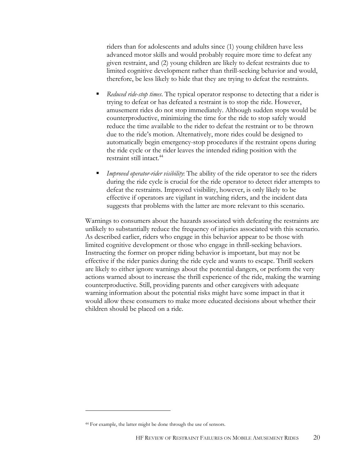riders than for adolescents and adults since (1) young children have less advanced motor skills and would probably require more time to defeat any given restraint, and (2) young children are likely to defeat restraints due to limited cognitive development rather than thrill-seeking behavior and would, therefore, be less likely to hide that they are trying to defeat the restraints.

- *Reduced ride-stop times*. The typical operator response to detecting that a rider is trying to defeat or has defeated a restraint is to stop the ride. However, amusement rides do not stop immediately. Although sudden stops would be counterproductive, minimizing the time for the ride to stop safely would reduce the time available to the rider to defeat the restraint or to be thrown due to the ride's motion. Alternatively, more rides could be designed to automatically begin emergency-stop procedures if the restraint opens during the ride cycle or the rider leaves the intended riding position with the restraint still intact.<sup>44</sup>
- *Improved operator-rider visibility*: The ability of the ride operator to see the riders during the ride cycle is crucial for the ride operator to detect rider attempts to defeat the restraints. Improved visibility, however, is only likely to be effective if operators are vigilant in watching riders, and the incident data suggests that problems with the latter are more relevant to this scenario.

Warnings to consumers about the hazards associated with defeating the restraints are unlikely to substantially reduce the frequency of injuries associated with this scenario. As described earlier, riders who engage in this behavior appear to be those with limited cognitive development or those who engage in thrill-seeking behaviors. Instructing the former on proper riding behavior is important, but may not be effective if the rider panics during the ride cycle and wants to escape. Thrill seekers are likely to either ignore warnings about the potential dangers, or perform the very actions warned about to increase the thrill experience of the ride, making the warning counterproductive. Still, providing parents and other caregivers with adequate warning information about the potential risks might have some impact in that it would allow these consumers to make more educated decisions about whether their children should be placed on a ride.

<sup>44</sup> For example, the latter might be done through the use of sensors.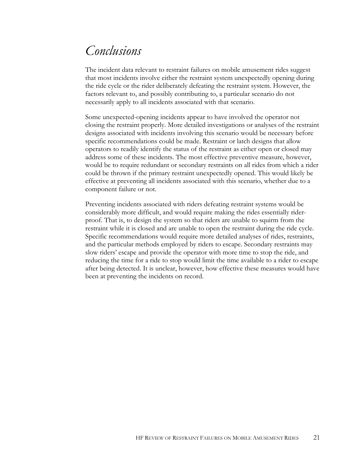### *Conclusions*

The incident data relevant to restraint failures on mobile amusement rides suggest that most incidents involve either the restraint system unexpectedly opening during the ride cycle or the rider deliberately defeating the restraint system. However, the factors relevant to, and possibly contributing to, a particular scenario do not necessarily apply to all incidents associated with that scenario.

Some unexpected-opening incidents appear to have involved the operator not closing the restraint properly. More detailed investigations or analyses of the restraint designs associated with incidents involving this scenario would be necessary before specific recommendations could be made. Restraint or latch designs that allow operators to readily identify the status of the restraint as either open or closed may address some of these incidents. The most effective preventive measure, however, would be to require redundant or secondary restraints on all rides from which a rider could be thrown if the primary restraint unexpectedly opened. This would likely be effective at preventing all incidents associated with this scenario, whether due to a component failure or not.

Preventing incidents associated with riders defeating restraint systems would be considerably more difficult, and would require making the rides essentially riderproof. That is, to design the system so that riders are unable to squirm from the restraint while it is closed and are unable to open the restraint during the ride cycle. Specific recommendations would require more detailed analyses of rides, restraints, and the particular methods employed by riders to escape. Secondary restraints may slow riders' escape and provide the operator with more time to stop the ride, and reducing the time for a ride to stop would limit the time available to a rider to escape after being detected. It is unclear, however, how effective these measures would have been at preventing the incidents on record.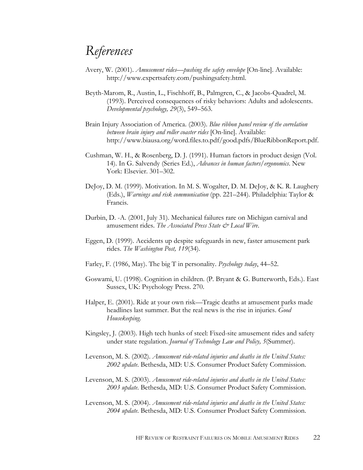### *References*

- Avery, W. (2001). *Amusement rides—pushing the safety envelope* [On-line]. Available: http://www.expertsafety.com/pushingsafety.html.
- Beyth-Marom, R., Austin, L., Fischhoff, B., Palmgren, C., & Jacobs-Quadrel, M. (1993). Perceived consequences of risky behaviors: Adults and adolescents. *Developmental psychology, 29*(3), 549–563.
- Brain Injury Association of America. (2003). *Blue ribbon panel review of the correlation between brain injury and roller coaster rides* [On-line]. Available: http://www.biausa.org/word.files.to.pdf/good.pdfs/BlueRibbonReport.pdf.
- Cushman, W. H., & Rosenberg, D. J. (1991). Human factors in product design (Vol. 14). In G. Salvendy (Series Ed.), *Advances in human factors/ergonomics*. New York: Elsevier. 301–302.
- DeJoy, D. M. (1999). Motivation. In M. S. Wogalter, D. M. DeJoy, & K. R. Laughery (Eds.), *Warnings and risk communication* (pp. 221–244). Philadelphia: Taylor & Francis.
- Durbin, D. -A. (2001, July 31). Mechanical failures rare on Michigan carnival and amusement rides. *The Associated Press State & Local Wire*.
- Eggen, D. (1999). Accidents up despite safeguards in new, faster amusement park rides. *The Washington Post, 119*(34).
- Farley, F. (1986, May). The big T in personality. *Psychology today*, 44–52.
- Goswami, U. (1998). Cognition in children. (P. Bryant & G. Butterworth, Eds.). East Sussex, UK: Psychology Press. 270.
- Halper, E. (2001). Ride at your own risk—Tragic deaths at amusement parks made headlines last summer. But the real news is the rise in injuries. *Good Housekeeping*.
- Kingsley, J. (2003). High tech hunks of steel: Fixed-site amusement rides and safety under state regulation. *Journal of Technology Law and Policy, 5*(Summer).
- Levenson, M. S. (2002). *Amusement ride-related injuries and deaths in the United States: 2002 update*. Bethesda, MD: U.S. Consumer Product Safety Commission.
- Levenson, M. S. (2003). *Amusement ride-related injuries and deaths in the United States: 2003 update*. Bethesda, MD: U.S. Consumer Product Safety Commission.
- Levenson, M. S. (2004). *Amusement ride-related injuries and deaths in the United States: 2004 update*. Bethesda, MD: U.S. Consumer Product Safety Commission.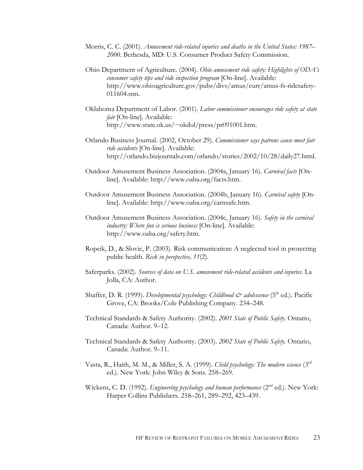- Morris, C. C. (2001). *Amusement ride-related injuries and deaths in the United States: 1987– 2000*. Bethesda, MD: U.S. Consumer Product Safety Commission.
- Ohio Department of Agriculture. (2004). *Ohio amusement ride safety: Highlights of ODA's consumer safety tips and ride inspection program* [On-line]. Available: http://www.ohioagriculture.gov/pubs/divs/amus/curr/amus-fs-ridesafety-011604.stm.
- Oklahoma Department of Labor. (2001). *Labor commissioner encourages ride safety at state fair* [On-line]. Available: http://www.state.ok.us/~okdol/press/pr091001.htm.
- Orlando Business Journal. (2002, October 29). *Commissioner says patrons cause most fair ride accidents* [On-line]. Available: http://orlando.bizjournals.com/orlando/stories/2002/10/28/daily27.html.
- Outdoor Amusement Business Association. (2004a, January 16). *Carnival facts* [Online]. Available: http://www.oaba.org/facts.htm.
- Outdoor Amusement Business Association. (2004b, January 16). *Carnival safety* [Online]. Available: http://www.oaba.org/carnsafe.htm.
- Outdoor Amusement Business Association. (2004c, January 16). *Safety in the carnival industry: Where fun is serious business* [On-line]. Available: http://www.oaba.org/safety.htm.
- Ropeik, D., & Slovic, P. (2003). Risk communication: A neglected tool in protecting public health. *Risk in perspective, 11*(2).
- Saferparks. (2002). *Sources of data on U.S. amusement ride-related accidents and injuries*. La Jolla, CA: Author.
- Shaffer, D. R. (1999). *Developmental psychology: Childhood & adolescence* (5<sup>th</sup> ed.). Pacific Grove, CA: Brooks/Cole Publishing Company. 234–248.
- Technical Standards & Safety Authority. (2002). *2001 State of Public Safety*. Ontario, Canada: Author. 9–12.
- Technical Standards & Safety Authority. (2003). *2002 State of Public Safety*. Ontario, Canada: Author. 9–11.
- Vasta, R., Haith, M. M., & Miller, S. A. (1999). *Child psychology: The modern science* (3rd ed.). New York: John Wiley & Sons. 258–269.
- Wickens, C. D. (1992). *Engineering psychology and human performance* (2<sup>nd</sup> ed.). New York: Harper Collins Publishers. 258–261, 289–292, 423–439.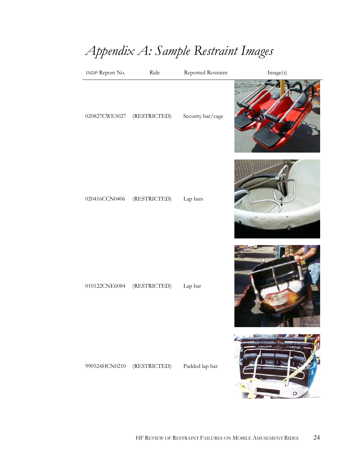# *Appendix A: Sample Restraint Images*

| <b>INDP Report No.</b> | Ride         | Reported Restraint | Image(s) |
|------------------------|--------------|--------------------|----------|
| 020827CWE5027          | (RESTRICTED) | Security bar/cage  |          |
| 020416CCN0406          | (RESTRICTED) | Lap bars           |          |
| 010122CNE6084          | (RESTRICTED) | Lap bar            |          |
| 990524HCN0210          | (RESTRICTED) | Padded lap bar     |          |

攬

 $\overline{\phantom{a}}$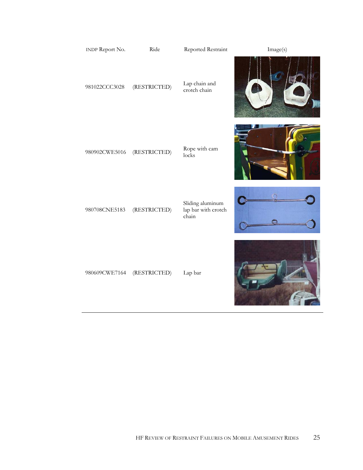| <b>INDP Report No.</b> | Ride         | Reported Restraint                               | Image(s) |
|------------------------|--------------|--------------------------------------------------|----------|
| 981022CCC3028          | (RESTRICTED) | Lap chain and<br>crotch chain                    |          |
| 980902CWE5016          | (RESTRICTED) | Rope with cam<br>locks                           |          |
| 980708CNE5183          | (RESTRICTED) | Sliding aluminum<br>lap bar with crotch<br>chain |          |
| 980609CWE7164          | (RESTRICTED) | Lap bar                                          |          |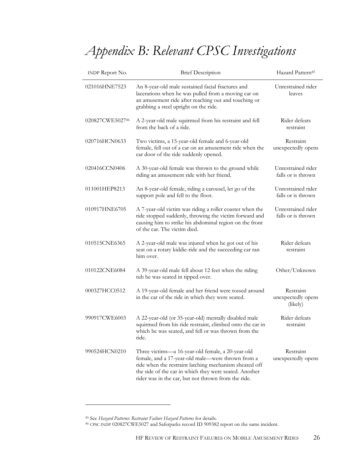# *Appendix B: Relevant CPSC Investigations*

| <b>INDP Report No.</b> | <b>Brief Description</b>                                                                                                                                                                                                                                                          | Hazard Pattern <sup>45</sup>                |
|------------------------|-----------------------------------------------------------------------------------------------------------------------------------------------------------------------------------------------------------------------------------------------------------------------------------|---------------------------------------------|
| 021016HNE7523          | An 8-year-old male sustained facial fractures and<br>lacerations when he was pulled from a moving car on<br>an amusement ride after reaching out and touching or<br>grabbing a steel upright on the ride.                                                                         | Unrestrained rider<br>leaves                |
| 020827CWE502746        | A 2-year-old male squirmed from his restraint and fell<br>from the back of a ride.                                                                                                                                                                                                | Rider defeats<br>restraint                  |
| 020716HCN0633          | Two victims, a 15-year-old female and 6-year-old<br>female, fell out of a car on an amusement ride when the<br>car door of the ride suddenly opened.                                                                                                                              | Restraint<br>unexpectedly opens             |
| 020416CCN0406          | A 30-year-old female was thrown to the ground while<br>riding an amusement ride with her friend.                                                                                                                                                                                  | Unrestrained rider<br>falls or is thrown    |
| 011001HEP8213          | An 8-year-old female, riding a carousel, let go of the<br>support pole and fell to the floor.                                                                                                                                                                                     | Unrestrained rider<br>falls or is thrown    |
| 010917HNE6705          | A 7-year-old victim was riding a roller coaster when the<br>ride stopped suddenly, throwing the victim forward and<br>causing him to strike his abdominal region on the front<br>of the car. The victim died.                                                                     | Unrestrained rider<br>falls or is thrown    |
| 010515CNE6365          | A 2-year-old male was injured when he got out of his<br>seat on a rotary kiddie-ride and the succeeding car ran<br>him over.                                                                                                                                                      | Rider defeats<br>restraint                  |
| 010122CNE6084          | A 39-year-old male fell about 12 feet when the riding<br>tub he was seated in tipped over.                                                                                                                                                                                        | Other/Unknown                               |
| 000327HCC0512          | A 19-year-old female and her friend were tossed around<br>in the car of the ride in which they were seated.                                                                                                                                                                       | Restraint<br>unexpectedly opens<br>(likely) |
| 990917CWE6003          | A 22-year-old (or 35-year-old) mentally disabled male<br>squirmed from his ride restraint, climbed onto the car in<br>which he was seated, and fell or was thrown from the<br>ride.                                                                                               | Rider defeats<br>restraint                  |
| 990524HCN0210          | Three victims-a 16-year-old female, a 20-year-old<br>female, and a 17-year-old male-were thrown from a<br>ride when the restraint latching mechanism sheared off<br>the side of the car in which they were seated. Another<br>rider was in the car, but not thrown from the ride. | Restraint<br>unexpectedly opens             |

<sup>45</sup> See *Hazard Patterns*: *Restraint Failure Hazard Patterns* for details. 46 CPSC INDP 020827CWE5027 and Saferparks record ID 909382 report on the same incident.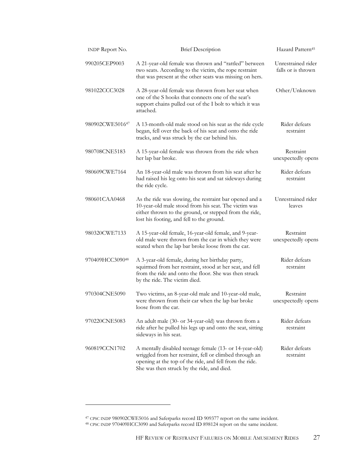| <b>INDP Report No.</b> | <b>Brief Description</b>                                                                                                                                                                                                    | Hazard Pattern <sup>45</sup>             |
|------------------------|-----------------------------------------------------------------------------------------------------------------------------------------------------------------------------------------------------------------------------|------------------------------------------|
| 990205CEP9003          | A 21-year-old female was thrown and "rattled" between<br>two seats. According to the victim, the rope restraint<br>that was present at the other seats was missing on hers.                                                 | Unrestrained rider<br>falls or is thrown |
| 981022CCC3028          | A 28-year-old female was thrown from her seat when<br>one of the S hooks that connects one of the seat's<br>support chains pulled out of the I bolt to which it was<br>attached.                                            | Other/Unknown                            |
| 980902CWE501647        | A 13-month-old male stood on his seat as the ride cycle<br>began, fell over the back of his seat and onto the ride<br>tracks, and was struck by the car behind his.                                                         | Rider defeats<br>restraint               |
| 980708CNE5183          | A 15-year-old female was thrown from the ride when<br>her lap bar broke.                                                                                                                                                    | Restraint<br>unexpectedly opens          |
| 980609CWE7164          | An 18-year-old male was thrown from his seat after he<br>had raised his leg onto his seat and sat sideways during<br>the ride cycle.                                                                                        | Rider defeats<br>restraint               |
| 980601CAA0468          | As the ride was slowing, the restraint bar opened and a<br>10-year-old male stood from his seat. The victim was<br>either thrown to the ground, or stepped from the ride,<br>lost his footing, and fell to the ground.      | Unrestrained rider<br>leaves             |
| 980320CWE7133          | A 15-year-old female, 16-year-old female, and 9-year-<br>old male were thrown from the car in which they were<br>seated when the lap bar broke loose from the car.                                                          | Restraint<br>unexpectedly opens          |
| 970409HCC309048        | A 3-year-old female, during her birthday party,<br>squirmed from her restraint, stood at her seat, and fell<br>from the ride and onto the floor. She was then struck<br>by the ride. The victim died.                       | Rider defeats<br>restraint               |
| 970304CNE5090          | Two victims, an 8-year-old male and 10-year-old male,<br>were thrown from their car when the lap bar broke<br>loose from the car.                                                                                           | Restraint<br>unexpectedly opens          |
| 970220CNE5083          | An adult male (30- or 34-year-old) was thrown from a<br>ride after he pulled his legs up and onto the seat, sitting<br>sideways in his seat.                                                                                | Rider defeats<br>restraint               |
| 960819CCN1702          | A mentally disabled teenage female (13- or 14-year-old)<br>wriggled from her restraint, fell or climbed through an<br>opening at the top of the ride, and fell from the ride.<br>She was then struck by the ride, and died. | Rider defeats<br>restraint               |

<sup>47</sup> CPSC INDP 980902CWE5016 and Saferparks record ID 909377 report on the same incident. 48 CPSC INDP 970409HCC3090 and Saferparks record ID 898124 report on the same incident.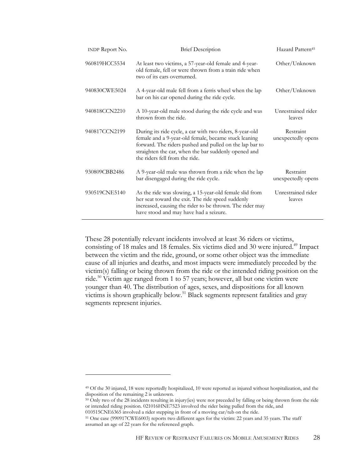| <b>INDP Report No.</b> | <b>Brief Description</b>                                                                                                                                                                                                                                              | Hazard Pattern <sup>45</sup>    |
|------------------------|-----------------------------------------------------------------------------------------------------------------------------------------------------------------------------------------------------------------------------------------------------------------------|---------------------------------|
| 960819HCC5534          | At least two victims, a 57-year-old female and 4-year-<br>old female, fell or were thrown from a train ride when<br>two of its cars overturned.                                                                                                                       | Other/Unknown                   |
| 940830CWE5024          | A 4-year-old male fell from a ferris wheel when the lap<br>bar on his car opened during the ride cycle.                                                                                                                                                               | Other/Unknown                   |
| 940818CCN2210          | A 10-year-old male stood during the ride cycle and was<br>thrown from the ride.                                                                                                                                                                                       | Unrestrained rider<br>leaves    |
| 940817CCN2199          | During its ride cycle, a car with two riders, 8-year-old<br>female and a 9-year-old female, became stuck leaning<br>forward. The riders pushed and pulled on the lap bar to<br>straighten the car, when the bar suddenly opened and<br>the riders fell from the ride. | Restraint<br>unexpectedly opens |
| 930809CBB2486          | A 9-year-old male was thrown from a ride when the lap<br>bar disengaged during the ride cycle.                                                                                                                                                                        | Restraint<br>unexpectedly opens |
| 930519CNE5140          | As the ride was slowing, a 15-year-old female slid from<br>her seat toward the exit. The ride speed suddenly<br>increased, causing the rider to be thrown. The rider may<br>have stood and may have had a seizure.                                                    | Unrestrained rider<br>leaves    |

These 28 potentially relevant incidents involved at least 36 riders or victims, consisting of 18 males and 18 females. Six victims died and 30 were injured.<sup>49</sup> Impact between the victim and the ride, ground, or some other object was the immediate cause of all injuries and deaths, and most impacts were immediately preceded by the victim(s) falling or being thrown from the ride or the intended riding position on the ride.50 Victim age ranged from 1 to 57 years; however, all but one victim were younger than 40. The distribution of ages, sexes, and dispositions for all known victims is shown graphically below.51 Black segments represent fatalities and gray segments represent injuries.

-

<sup>49</sup> Of the 30 injured, 18 were reportedly hospitalized, 10 were reported as injured without hospitalization, and the disposition of the remaining 2 is unknown.

<sup>&</sup>lt;sup>50</sup> Only two of the 28 incidents resulting in injury(ies) were not preceded by falling or being thrown from the ride or intended riding position. 021016HNE7523 involved the rider being pulled from the ride, and

<sup>010515</sup>CNE6365 involved a rider stepping in front of a moving car/tub on the ride.

<sup>51</sup> One case (990917CWE6003) reports two different ages for the victim: 22 years and 35 years. The staff assumed an age of 22 years for the referenced graph.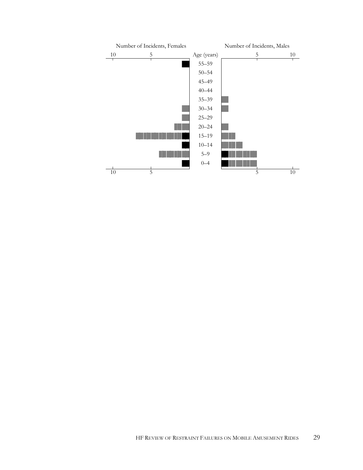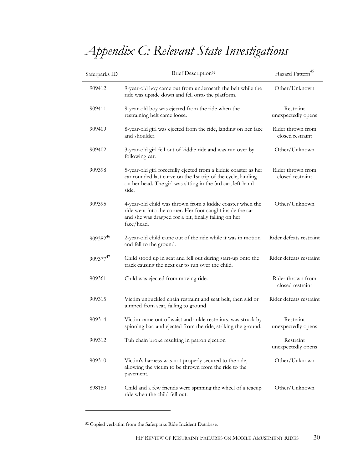# *Appendix C: Relevant State Investigations*

| Saferparks ID        | Brief Description <sup>52</sup>                                                                                                                                                                         | Hazard Pattern <sup>45</sup>          |
|----------------------|---------------------------------------------------------------------------------------------------------------------------------------------------------------------------------------------------------|---------------------------------------|
| 909412               | 9-year-old boy came out from underneath the belt while the<br>ride was upside down and fell onto the platform.                                                                                          | Other/Unknown                         |
| 909411               | 9-year-old boy was ejected from the ride when the<br>restraining belt came loose.                                                                                                                       | Restraint<br>unexpectedly opens       |
| 909409               | 8-year-old girl was ejected from the ride, landing on her face<br>and shoulder.                                                                                                                         | Rider thrown from<br>closed restraint |
| 909402               | 3-year-old girl fell out of kiddie ride and was run over by<br>following car.                                                                                                                           | Other/Unknown                         |
| 909398               | 5-year-old girl forcefully ejected from a kiddie coaster as her<br>car rounded last curve on the 1st trip of the cycle, landing<br>on her head. The girl was sitting in the 3rd car, left-hand<br>side. | Rider thrown from<br>closed restraint |
| 909395               | 4-year-old child was thrown from a kiddie coaster when the<br>ride went into the corner. Her foot caught inside the car<br>and she was dragged for a bit, finally falling on her<br>face/head.          | Other/Unknown                         |
| 909382 <sup>46</sup> | 2-year-old child came out of the ride while it was in motion<br>and fell to the ground.                                                                                                                 | Rider defeats restraint               |
| 909377 <sup>47</sup> | Child stood up in seat and fell out during start-up onto the<br>track causing the next car to run over the child.                                                                                       | Rider defeats restraint               |
| 909361               | Child was ejected from moving ride.                                                                                                                                                                     | Rider thrown from<br>closed restraint |
| 909315               | Victim unbuckled chain restraint and seat belt, then slid or<br>jumped from seat, falling to ground                                                                                                     | Rider defeats restraint               |
| 909314               | Victim came out of waist and ankle restraints, was struck by<br>spinning bar, and ejected from the ride, striking the ground.                                                                           | Restraint<br>unexpectedly opens       |
| 909312               | Tub chain broke resulting in patron ejection                                                                                                                                                            | Restraint<br>unexpectedly opens       |
| 909310               | Victim's harness was not properly secured to the ride,<br>allowing the victim to be thrown from the ride to the<br>pavement.                                                                            | Other/Unknown                         |
| 898180               | Child and a few friends were spinning the wheel of a teacup<br>ride when the child fell out.                                                                                                            | Other/Unknown                         |

<sup>52</sup> Copied verbatim from the Saferparks Ride Incident Database.